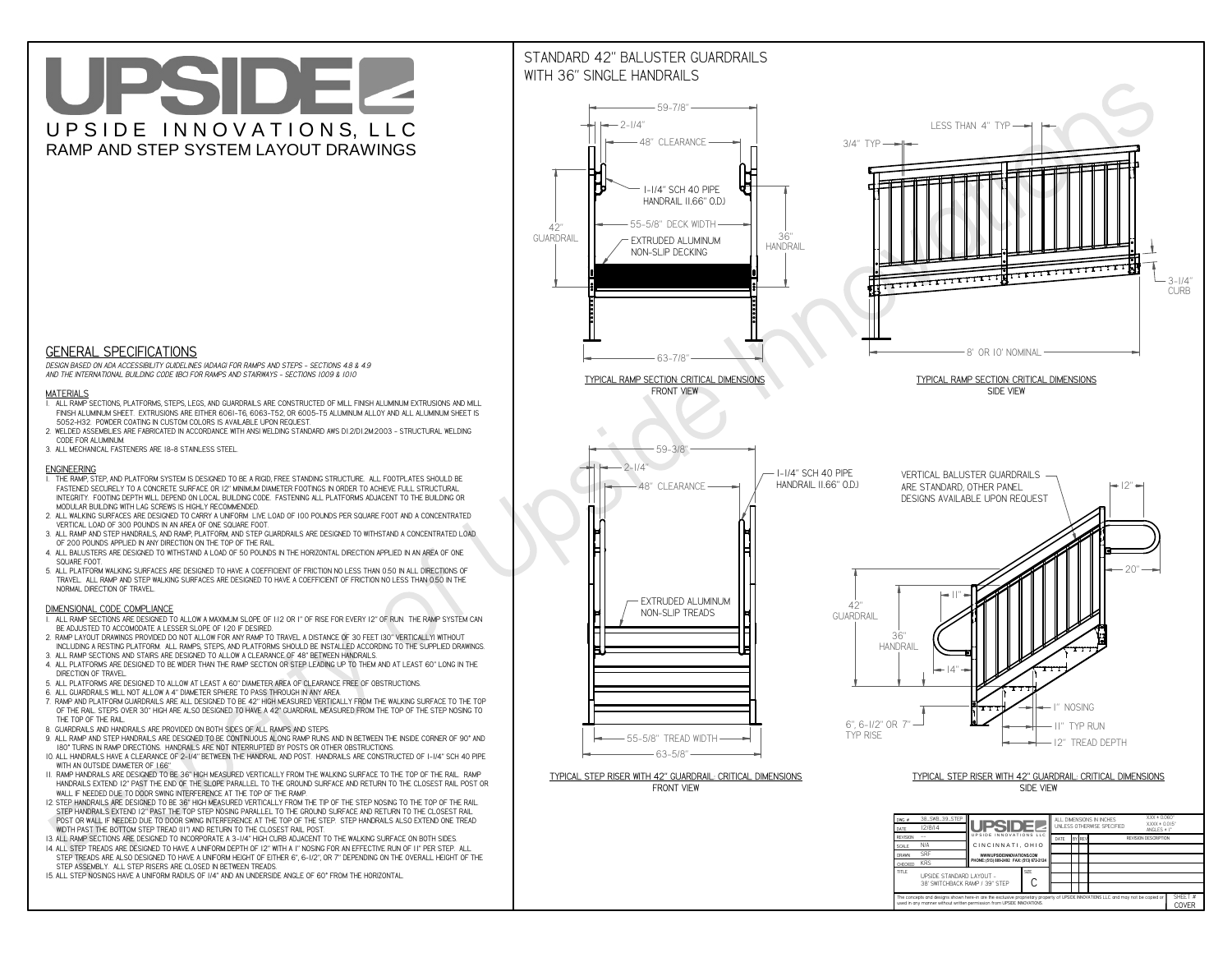**The concepts and designs shown here-in are the exclusive proprietary property of UPSIDE INNOVATIONS LLC. and may not be copied or**

**I** 

**used in any manner without written permission from UPSIDE INNOVATIONS.**

# UPSIDEL UPSIDE INNOVATIONS, LLC RAMP AND STEP SYSTEM LAYOUT DRAWINGS

SHEET #**COVER**



38' SWITCHBACK RAMP / 39" STEP

## STANDARD 42" BALUSTER GUARDRAILSWITH 36" SINGLE HANDRAILS



 *DESIGN BASED ON ADA ACCESSIBILITY GUIDELINES (ADAAG) FOR RAMPS AND STEPS - SECTIONS 4.8 & 4.9AND THE INTERNATIONAL BUILDING CODE (IBC) FOR RAMPS AND STAIRWAYS - SECTIONS 1009 & 1010*

#### **MATERIALS**

- **1. ALL RAMP SECTIONS, PLATFORMS, STEPS, LEGS, AND GUARDRAILS ARE CONSTRUCTED OF MILL FINISH ALUMINUM EXTRUSIONS AND MILL FINISH ALUMINUM SHEET. EXTRUSIONS ARE EITHER 6061-T6, 6063-T52, OR 6005-T5 ALUMINUM ALLOY AND ALL ALUMINUM SHEET IS 5052-H32. POWDER COATING IN CUSTOM COLORS IS AVAILABLE UPON REQUEST.**
- **2. WELDED ASSEMBLIES ARE FABRICATED IN ACCORDANCE WITH ANSI WELDING STANDARD AWS D1.2/D1.2M:2003 STRUCTURAL WELDING CODE FOR ALUMINUM.**
- **3. ALL MECHANICAL FASTENERS ARE 18-8 STAINLESS STEEL.**

#### **ENGINEERING**

- **1. THE RAMP, STEP, AND PLATFORM SYSTEM IS DESIGNED TO BE A RIGID, FREE STANDING STRUCTURE. ALL FOOTPLATES SHOULD BE FASTENED SECURELY TO A CONCRETE SURFACE OR 12" MINIMUM DIAMETER FOOTINGS IN ORDER TO ACHIEVE FULL STRUCTURAL INTEGRITY. FOOTING DEPTH WILL DEPEND ON LOCAL BUILDING CODE. FASTENING ALL PLATFORMS ADJACENT TO THE BUILDING OR MODULAR BUILDING WITH LAG SCREWS IS HIGHLY RECOMMENDED.**
- **2. ALL WALKING SURFACES ARE DESIGNED TO CARRY A UNIFORM LIVE LOAD OF 100 POUNDS PER SQUARE FOOT AND A CONCENTRATED VERTICAL LOAD OF 300 POUNDS IN AN AREA OF ONE SQUARE FOOT.**
- **3. ALL RAMP AND STEP HANDRAILS, AND RAMP, PLATFORM, AND STEP GUARDRAILS ARE DESIGNED TO WITHSTAND A CONCENTRATED LOAD OF 200 POUNDS APPLIED IN ANY DIRECTION ON THE TOP OF THE RAIL.**
- **4. ALL BALUSTERS ARE DESIGNED TO WITHSTAND A LOAD OF 50 POUNDS IN THE HORIZONTAL DIRECTION APPLIED IN AN AREA OF ONE SQUARE FOOT.**
- **5. ALL PLATFORM WALKING SURFACES ARE DESIGNED TO HAVE A COEFFICIENT OF FRICTION NO LESS THAN 0.50 IN ALL DIRECTIONS OF TRAVEL. ALL RAMP AND STEP WALKING SURFACES ARE DESIGNED TO HAVE A COEFFICIENT OF FRICTION NO LESS THAN 0.50 IN THE NORMAL DIRECTION OF TRAVEL.**

### **DIMENSIONAL CODE COMPLIANCE**

- **1. ALL RAMP SECTIONS ARE DESIGNED TO ALLOW A MAXIMUM SLOPE OF 1:12 OR 1" OF RISE FOR EVERY 12" OF RUN. THE RAMP SYSTEM CAN BE ADJUSTED TO ACCOMODATE A LESSER SLOPE OF 1:20 IF DESIRED.**
- **2. RAMP LAYOUT DRAWINGS PROVIDED DO NOT ALLOW FOR ANY RAMP TO TRAVEL A DISTANCE OF 30 FEET (30" VERTICALLY) WITHOUT INCLUDING A RESTING PLATFORM. ALL RAMPS, STEPS, AND PLATFORMS SHOULD BE INSTALLED ACCORDING TO THE SUPPLIED DRAWINGS.**
- **3. ALL RAMP SECTIONS AND STAIRS ARE DESIGNED TO ALLOW A CLEARANCE OF 48" BETWEEN HANDRAILS.**
- **4. ALL PLATFORMS ARE DESIGNED TO BE WIDER THAN THE RAMP SECTION OR STEP LEADING UP TO THEM AND AT LEAST 60" LONG IN THE DIRECTION OF TRAVEL.**
- **5. ALL PLATFORMS ARE DESIGNED TO ALLOW AT LEAST A 60" DIAMETER AREA OF CLEARANCE FREE OF OBSTRUCTIONS.**
- **6. ALL GUARDRAILS WILL NOT ALLOW A 4" DIAMETER SPHERE TO PASS THROUGH IN ANY AREA.**
- **7. RAMP AND PLATFORM GUARDRAILS ARE ALL DESIGNED TO BE 42" HIGH MEASURED VERTICALLY FROM THE WALKING SURFACE TO THE TOP OF THE RAIL. STEPS OVER 30" HIGH ARE ALSO DESIGNED TO HAVE A 42" GUARDRAIL MEASURED FROM THE TOP OF THE STEP NOSING TO THE TOP OF THE RAIL.**
- **8. GUARDRAILS AND HANDRAILS ARE PROVIDED ON BOTH SIDES OF ALL RAMPS AND STEPS.**
- **9. ALL RAMP AND STEP HANDRAILS ARE DESIGNED TO BE CONTINUOUS ALONG RAMP RUNS AND IN BETWEEN THE INSIDE CORNER OF 90° AND 180° TURNS IN RAMP DIRECTIONS. HANDRAILS ARE NOT INTERRUPTED BY POSTS OR OTHER OBSTRUCTIONS.**
- **10. ALL HANDRAILS HAVE A CLEARANCE OF 2-1/4" BETWEEN THE HANDRAIL AND POST. HANDRAILS ARE CONSTRUCTED OF 1-1/4" SCH 40 PIPE WITH AN OUTSIDE DIAMETER OF 1.66"**
- **11. RAMP HANDRAILS ARE DESIGNED TO BE 36" HIGH MEASURED VERTICALLY FROM THE WALKING SURFACE TO THE TOP OF THE RAIL. RAMP HANDRAILS EXTEND 12" PAST THE END OF THE SLOPE PARALLEL TO THE GROUND SURFACE AND RETURN TO THE CLOSEST RAIL POST OR WALL IF NEEDED DUE TO DOOR SWING INTERFERENCE AT THE TOP OF THE RAMP.**
- **12. STEP HANDRAILS ARE DESIGNED TO BE 36" HIGH MEASURED VERTICALLY FROM THE TIP OF THE STEP NOSING TO THE TOP OF THE RAIL. STEP HANDRAILS EXTEND 12" PAST THE TOP STEP NOSING PARALLEL TO THE GROUND SURFACE AND RETURN TO THE CLOSEST RAIL POST OR WALL IF NEEDED DUE TO DOOR SWING INTERFERENCE AT THE TOP OF THE STEP. STEP HANDRAILS ALSO EXTEND ONE TREAD WIDTH PAST THE BOTTOM STEP TREAD (11") AND RETURN TO THE CLOSEST RAIL POST.**
- **13. ALL RAMP SECTIONS ARE DESIGNED TO INCORPORATE A 3-1/4" HIGH CURB ADJACENT TO THE WALKING SURFACE ON BOTH SIDES.**
- **14. ALL STEP TREADS ARE DESIGNED TO HAVE A UNIFORM DEPTH OF 12" WITH A 1" NOSING FOR AN EFFECTIVE RUN OF 11" PER STEP. ALL**
- **STEP TREADS ARE ALSO DESIGNED TO HAVE A UNIFORM HEIGHT OF EITHER 6", 6-1/2", OR 7" DEPENDING ON THE OVERALL HEIGHT OF THE STEP ASSEMBLY. ALL STEP RISERS ARE CLOSED IN BETWEEN TREADS.**
- **15. ALL STEP NOSINGS HAVE A UNIFORM RADIUS OF 1/4" AND AN UNDERSIDE ANGLE OF 60° FROM THE HORIZONTAL.**